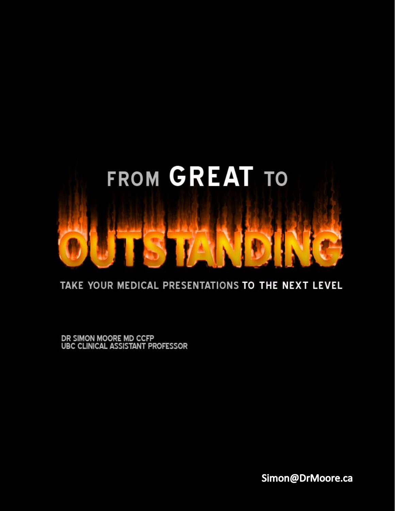

#### TAKE YOUR MEDICAL PRESENTATIONS TO THE NEXT LEVEL

DR SIMON MOORE MD CCFP<br>UBC CLINICAL ASSISTANT PROFESSOR

Simon@DrMoore.ca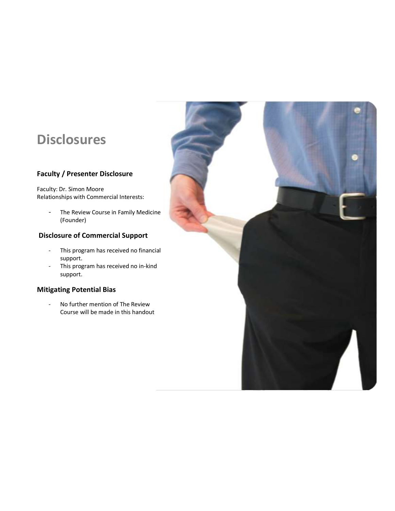## **Disclosures**

#### **Faculty / Presenter Disclosure**

Faculty: Dr. Simon Moore Relationships with Commercial Interests:

> - The Review Course in Family Medicine (Founder)

#### **Disclosure of Commercial Support**

- This program has received no financial support.
- This program has received no in-kind support.

#### **Mitigating Potential Bias**

- No further mention of The Review Course will be made in this handout

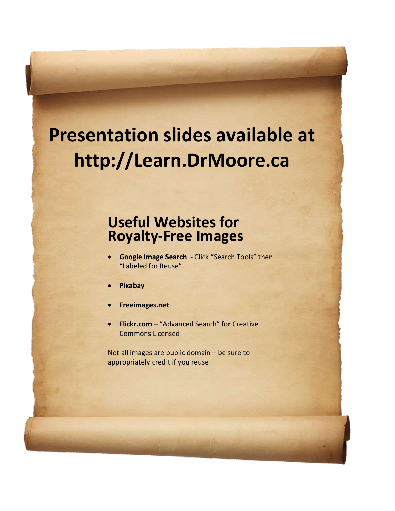# **Presentation slides available at http://Learn.DrMoore.ca**

## **Useful Websites for Royalty-Free Images**

- **Google Image Search -** Click "Search Tools" then "Labeled for Reuse".
- **Pixabay**
- **Freeimages.net**
- **Flickr.com**  "Advanced Search" for Creative Commons Licensed

Not all images are public domain – be sure to appropriately credit if you reuse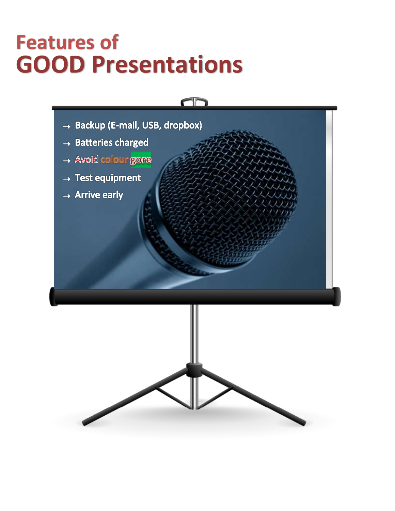# **Features of GOOD Presentations**

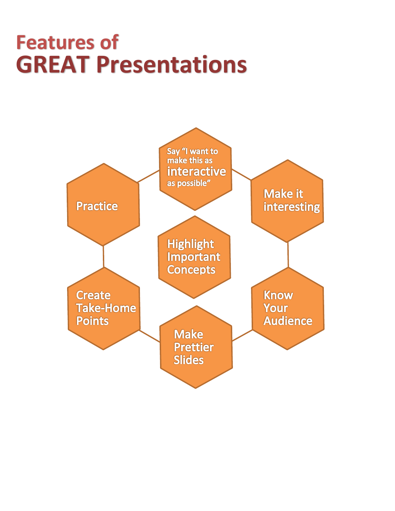# **Features of GREAT Presentations**

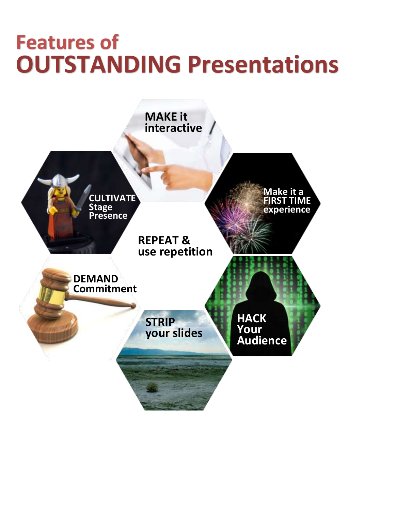# **Features of OUTSTANDING Presentations**

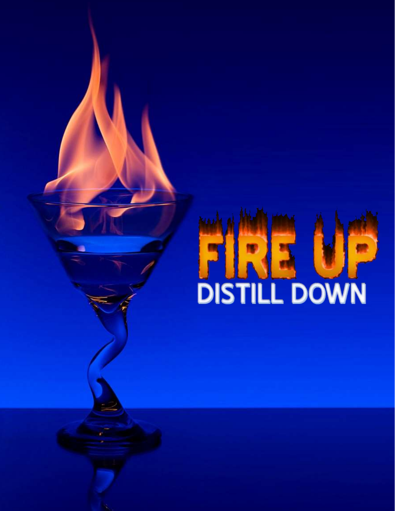# **FIRE UF**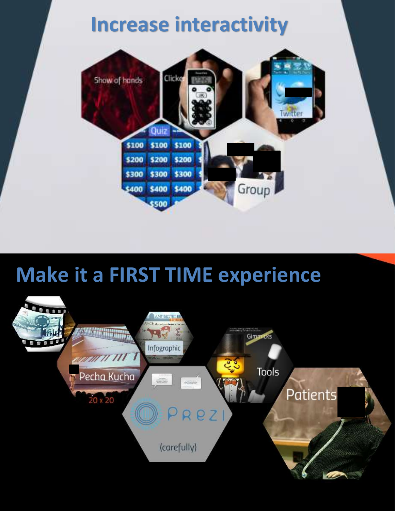**Increase interactivity**



## **Make it a FIRST TIME experience**

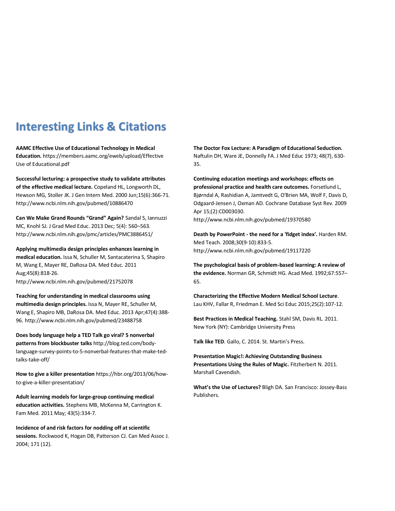### **Interesting Links & Citations**

**AAMC Effective Use of Educational Technology in Medical Education.** https://members.aamc.org/eweb/upload/Effective Use of Educational.pdf

**Successful lecturing: a prospective study to validate attributes of the effective medical lecture.** Copeland HL, Longworth DL, Hewson MG, Stoller JK. J Gen Intern Med. 2000 Jun;15(6):366-71. http://www.ncbi.nlm.nih.gov/pubmed/10886470

**Can We Make Grand Rounds "Grand" Again?** Sandal S, Iannuzzi MC, Knohl SJ. J Grad Med Educ. 2013 Dec; 5(4): 560–563. http://www.ncbi.nlm.nih.gov/pmc/articles/PMC3886451/

**Applying multimedia design principles enhances learning in medical education.** Issa N, Schuller M, Santacaterina S, Shapiro M, Wang E, Mayer RE, DaRosa DA. Med Educ. 2011 Aug;45(8):818-26. http://www.ncbi.nlm.nih.gov/pubmed/21752078

**Teaching for understanding in medical classrooms using multimedia design principles.** Issa N, Mayer RE, Schuller M, Wang E, Shapiro MB, DaRosa DA. Med Educ. 2013 Apr;47(4):388- 96. http://www.ncbi.nlm.nih.gov/pubmed/23488758

**Does body language help a TED Talk go viral? 5 nonverbal patterns from blockbuster talks** http://blog.ted.com/bodylanguage-survey-points-to-5-nonverbal-features-that-make-tedtalks-take-off/

**How to give a killer presentation** https://hbr.org/2013/06/howto-give-a-killer-presentation/

**Adult learning models for large-group continuing medical education activities.** Stephens MB, McKenna M, Carrington K. Fam Med. 2011 May; 43(5):334-7.

**Incidence of and risk factors for nodding off at scientific sessions.** Rockwood K, Hogan DB, Patterson CJ. Can Med Assoc J. 2004; 171 (12).

**The Doctor Fox Lecture: A Paradigm of Educational Seduction.** Naftulin DH, Ware JE, Donnelly FA. J Med Educ 1973; 48(7), 630- 35.

**Continuing education meetings and workshops: effects on professional practice and health care outcomes.** Forsetlund L, Bjørndal A, Rashidian A, Jamtvedt G, O'Brien MA, Wolf F, Davis D, Odgaard-Jensen J, Oxman AD. Cochrane Database Syst Rev. 2009 Apr 15;(2):CD003030.

http://www.ncbi.nlm.nih.gov/pubmed/19370580

**Death by PowerPoint - the need for a 'fidget index'.** Harden RM. Med Teach. 2008;30(9-10):833-5. http://www.ncbi.nlm.nih.gov/pubmed/19117220

**The psychological basis of problem-based learning: A review of the evidence.** Norman GR, Schmidt HG. Acad Med. 1992;67:557– 65.

**Characterizing the Effective Modern Medical School Lecture**. Lau KHV, Fallar R, Friedman E. Med Sci Educ 2015;25(2):107-12.

**Best Practices in Medical Teaching.** Stahl SM, Davis RL. 2011. New York (NY): Cambridge University Press

**Talk like TED**. Gallo, C. 2014. St. Martin's Press.

**Presentation Magic!: Achieving Outstanding Business Presentations Using the Rules of Magic.** Fitzherbert N. 2011. Marshall Cavendish.

**What's the Use of Lectures?** Bligh DA. San Francisco: Jossey-Bass Publishers.